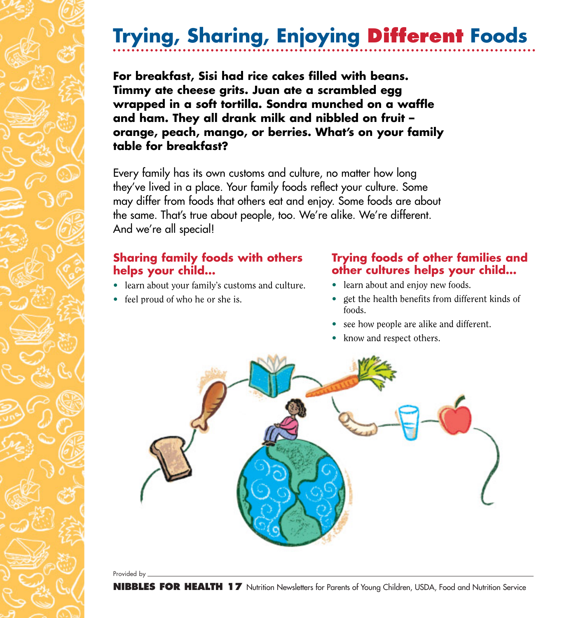## **Trying, Sharing, Enjoying Different Foods**

**For breakfast, Sisi had rice cakes filled with beans. Timmy ate cheese grits. Juan ate a scrambled egg wrapped in a soft tortilla. Sondra munched on a waffle and ham. They all drank milk and nibbled on fruit – orange, peach, mango, or berries. What's on your family table for breakfast?**

Every family has its own customs and culture, no matter how long they've lived in a place. Your family foods reflect your culture. Some may differ from foods that others eat and enjoy. Some foods are about the same. That's true about people, too. We're alike. We're different. And we're all special!

## **Sharing family foods with others helps your child…**

- learn about your family's customs and culture.
- feel proud of who he or she is.

## **Trying foods of other families and other cultures helps your child…**

- learn about and enjoy new foods.
- get the health benefits from different kinds of foods.
- see how people are alike and different.
- know and respect others.



Provided by